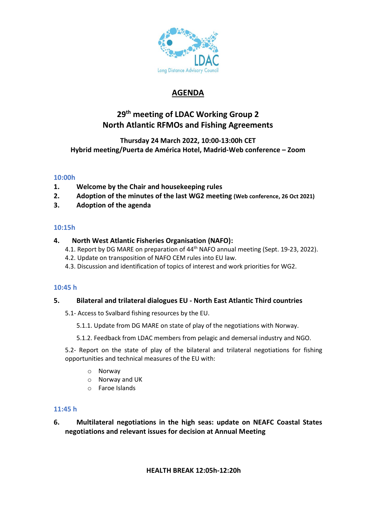

# **AGENDA**

# **29 th meeting of LDAC Working Group 2 North Atlantic RFMOs and Fishing Agreements**

# **Thursday 24 March 2022, 10:00-13:00h CET Hybrid meeting/Puerta de América Hotel, Madrid-Web conference – Zoom**

## **10:00h**

- **1. Welcome by the Chair and housekeeping rules**
- **2. Adoption of the minutes of the last WG2 meeting (Web conference, 26 Oct 2021)**
- **3. Adoption of the agenda**

## **10:15h**

## **4. North West Atlantic Fisheries Organisation (NAFO):**

- 4.1. Report by DG MARE on preparation of 44<sup>th</sup> NAFO annual meeting (Sept. 19-23, 2022).
- 4.2. Update on transposition of NAFO CEM rules into EU law.
- 4.3. Discussion and identification of topics of interest and work priorities for WG2.

### **10:45 h**

### **5. Bilateral and trilateral dialogues EU - North East Atlantic Third countries**

- 5.1- Access to Svalbard fishing resources by the EU.
	- 5.1.1. Update from DG MARE on state of play of the negotiations with Norway.
	- 5.1.2. Feedback from LDAC members from pelagic and demersal industry and NGO.

5.2- Report on the state of play of the bilateral and trilateral negotiations for fishing opportunities and technical measures of the EU with:

- o Norway
- o Norway and UK
- o Faroe Islands

# **11:45 h**

# **6. Multilateral negotiations in the high seas: update on NEAFC Coastal States negotiations and relevant issues for decision at Annual Meeting**

### **HEALTH BREAK 12:05h-12:20h**